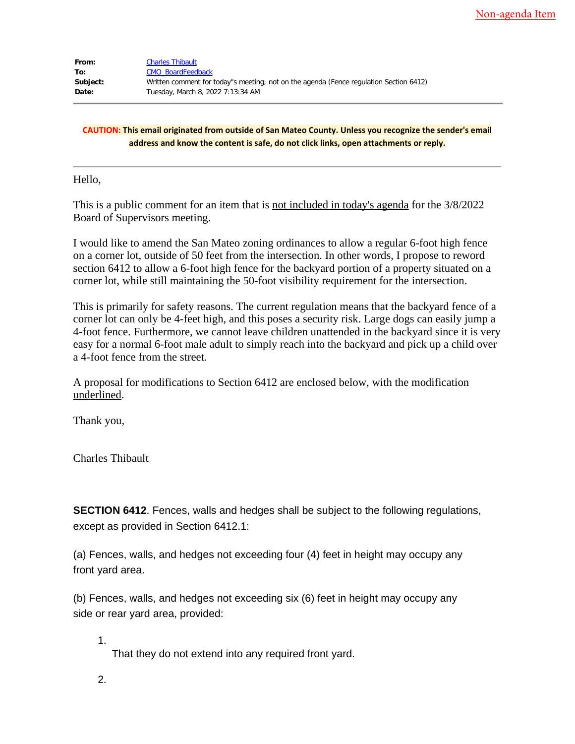| From:    | <b>Charles Thibault</b>                                                                |
|----------|----------------------------------------------------------------------------------------|
| To:      | <b>CMO BoardFeedback</b>                                                               |
| Subject: | Written comment for today"s meeting; not on the agenda (Fence regulation Section 6412) |
| Date:    | Tuesday, March 8, 2022 7:13:34 AM                                                      |

## **CAUTION: This email originated from outside of San Mateo County. Unless you recognize the sender's email address and know the content is safe, do not click links, open attachments or reply.**

Hello,

This is a public comment for an item that is not included in today's agenda for the 3/8/2022 Board of Supervisors meeting.

I would like to amend the San Mateo zoning ordinances to allow a regular 6-foot high fence on a corner lot, outside of 50 feet from the intersection. In other words, I propose to reword section 6412 to allow a 6-foot high fence for the backyard portion of a property situated on a corner lot, while still maintaining the 50-foot visibility requirement for the intersection.

This is primarily for safety reasons. The current regulation means that the backyard fence of a corner lot can only be 4-feet high, and this poses a security risk. Large dogs can easily jump a 4-foot fence. Furthermore, we cannot leave children unattended in the backyard since it is very easy for a normal 6-foot male adult to simply reach into the backyard and pick up a child over a 4-foot fence from the street.

A proposal for modifications to Section 6412 are enclosed below, with the modification underlined.

Thank you,

Charles Thibault

**SECTION 6412.** Fences, walls and hedges shall be subject to the following regulations, except as provided in Section 6412.1:

(a) Fences, walls, and hedges not exceeding four (4) feet in height may occupy any front yard area.

(b) Fences, walls, and hedges not exceeding six (6) feet in height may occupy any side or rear yard area, provided:

1.

That they do not extend into any required front yard.